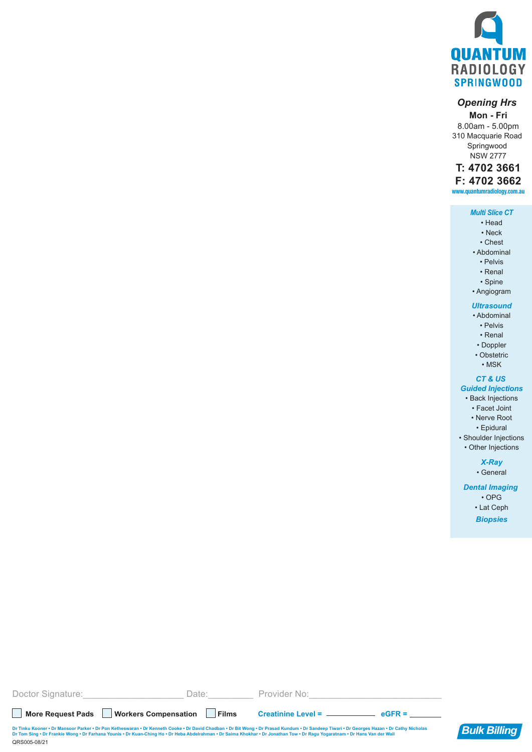

## *Opening Hrs*

**Mon - Fri** 8.00am - 5.00pm 310 Macquarie Road Springwood NSW 2777

### **www.quantumradiology.com.au T: 4702 3661 F: 4702 3662**

#### *Multi Slice CT*

- Head
- Neck
- Chest
- Abdominal • Pelvis
	- Renal
	- Spine
- Angiogram
- 
- *Ultrasound* • Abdominal
	- Pelvis
	- Renal
- Doppler
- Obstetric
	- MSK

### *CT & US*

### *Guided Injections*

- Back Injections
	- Facet Joint
	- Nerve Root
	- Epidural
- Shoulder Injections • Other Injections

# *X-Ray*

• General

### *Dental Imaging*  • OPG

- Lat Ceph
- *Biopsies*

**More Request Pads Workers Compensation Films Creatinine Level = eGFR =** Doctor Signature: etc. All and Date: Exercise Provider No:

QRS005-08/21 Dr Tinku Kooner • Dr Mansoor Parker • Dr Pon Ketheswaran • Dr Kenneth Cooke • Dr David Chadban • Dr Bit Wong • Dr Prasad Kundum • Dr Sandeep Tiwari • Dr Georges Hazan • Dr Cathy Nicholas **Bulk Billing**